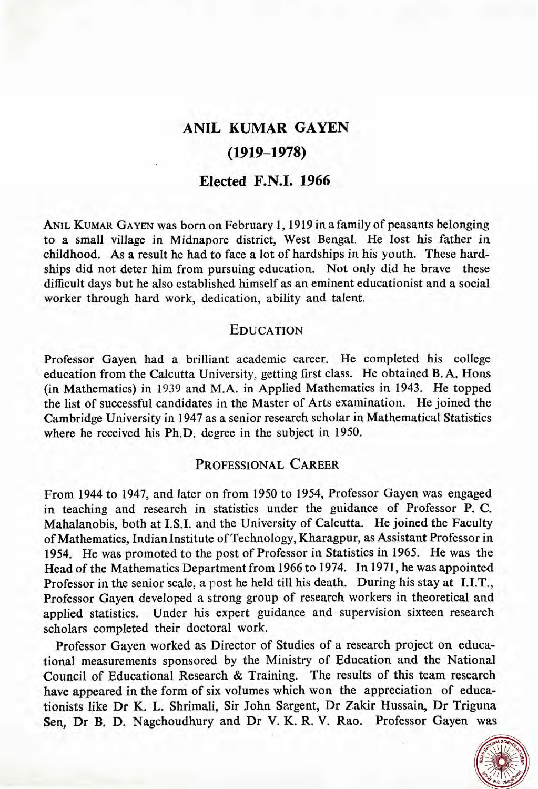# **ANIL KUMAR GAYEN (1919-1978)**

# **Elected F.N.I. 1966**

ANIL KUMAR GAYEN was born on February 1, 1919 in a family of peasants belonging to a small village in Midnapore district, West Bengal. He lost his father in childhood. As a result he had to face a lot of hardships in his youth. These hardships did not deter him from pursuing education. Not only did he brave these difficult days but he also established himself as an eminent educationist and a social worker through hard work, dedication, ability and talent.

## **EDUCATION**

Professor Gayen had a brilliant academic career. He completed his college education from the Calcutta University, getting first class. He obtained B. A. Hons (in Mathematics) in 1939 and M.A. in Applied Mathematics in 1943. He topped the list of successful candidates in the Master of Arts examination. He joined the Cambridge University in 1947 as a senior research scholar in Mathematical Statistics where he received his Ph.D. degree in the subject in 1950.

## PROFESSIONAL CAREER

From 1944 to 1947, and later on from 1950 to 1954, Professor Gayen was engaged in teaching and research in statistics under the guidance of Professor P. C. Mahalanobis, both at I.S.I. and the University of Calcutta. He joined the Faculty of Mathematics, IndianInstitute of Technology, Kharagpur, as Assistant Professor in 1954. He was promoted to the post of Professor in Statistics in 1965. He was the Head of the Mathematics Department from 1966 to 1974. In 1971, he was appointed Professor in the senior scale, a post he held till his death. During his stay at I.I.T., Professor Gayen developed a strong group of research workers in theoretical and applied statistics. Under his expert guidance and supervision sixteen research scholars completed their doctoral work.

Professor Gayen worked as Director of Studies of a research project on educational measurements sponsored by the Ministry of Education and the National Council of Educational Research & Training. The results of this team research have appeared in the form of six volumes which won the appreciation of educationists like Dr K. L. Shrimali, Sir John Sargent, Dr Zakir Hussain, Dr Triguna Sen, Dr B. D. Nagchoudhury and Dr V. **K.** R. V. Rao. Professor Gayen **was** 

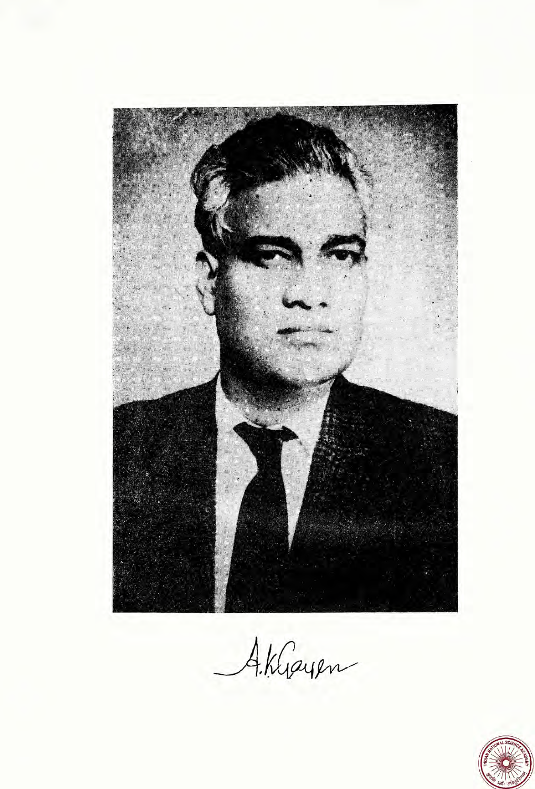

Aklayen

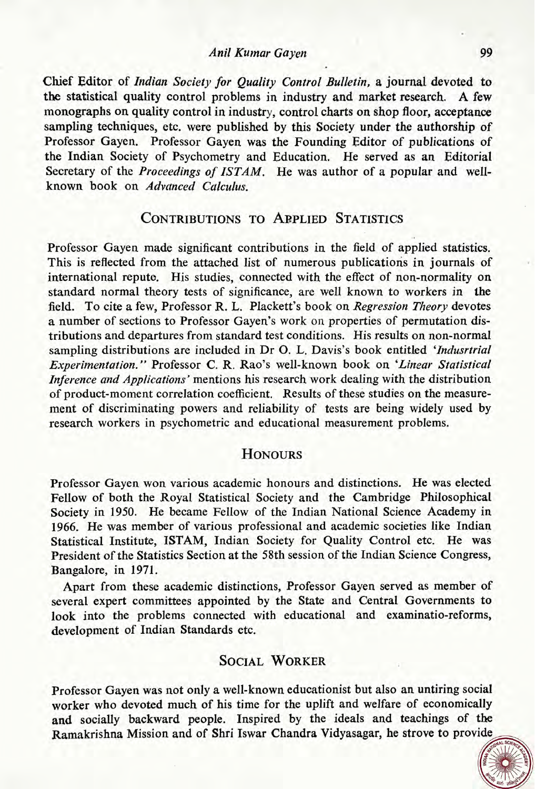#### **P4** :, *Anil Kumar Gayen*

Chief Editor of Indian *Society for Quality Control Bulletin,* a journal devoted to the statistical quality control problems in industry and market research. A few monographs on quality control in industry, control charts on shop floor, acceptance sampling techniques, etc. were published by this Society under the authorship of Professor Gayen. Professor Gayen was the Founding Editor of publications of the Indian Society of Psychometry and Education. He served as an Editorial Secretary of the *Proceedings of ISTAM.* He was author of a popular and wellknown book on *Advanced Calculus.* 

# CONTRIBUTIONS TO APPLIED STATISTICS

Professor Gayen made significant contributions in the field of applied statistics. This is reflected from the attached list of numerous publications in journals of international reputo. His studies, connected with the effect of non-normality on standard normal theory tests of significance, are well known to workers in the field. To cite a few, Professor R. L. Plackett's book on *Regression Theory* devotes *a* number of sections to Professor Gayen's work on properties of permutation distributions and departures from standard test conditions. His results on non-normal sampling distributions are included in Dr **0.** L. Davis's book entitled *'Indusrtrial Experimentation."* Professor C. R. Rao's well-known book on *'Linear Statistical Inference and Applications'* mentions his research work dealing with the distribution of product-moment correlation coefficient. Results of these studies on the measurement of discriminating powers and reliability of tests are being widely used by research workers in psychometric and educational measurement problems.

## **HONOURS**

Professor Gayen won various academic honours and distinctions. He was elected Fellow of both the Royal Statistical Society and the Cambridge Philosophical Society in **1950.** He became Fellow of the Indian National Science Academy in **1966.** He was member of various professional and academic societies like Indian Statistical Institute, ISTAM, Indian Society for Quality Control etc. He was President of the Statistics Section at the 58th session of the Indian Science Congress, Bangalore, in **1971.** 

Apart from these academic distinctions, Professor Gayen served as member of several expert committees appointed by the State and Central Governments to look into the problems connected with educational and examinatio-reforms, development of Indian Standards etc.

# **SOCIAL WORKER**

Professor Gayen was not only a well-known educationist but also an untiring social worker who devoted much of his time for the uplift and welfare of economically and socially backward people. Inspired by the ideals and teachings of the Ramakrishna Mission and of Shri Iswar Chandra Vidyasagar, he strove to provi

**<sup>h</sup>**\* **9-** , a' .. .. **q** &%&- \$Je **<sup>4</sup><sup>4</sup>**

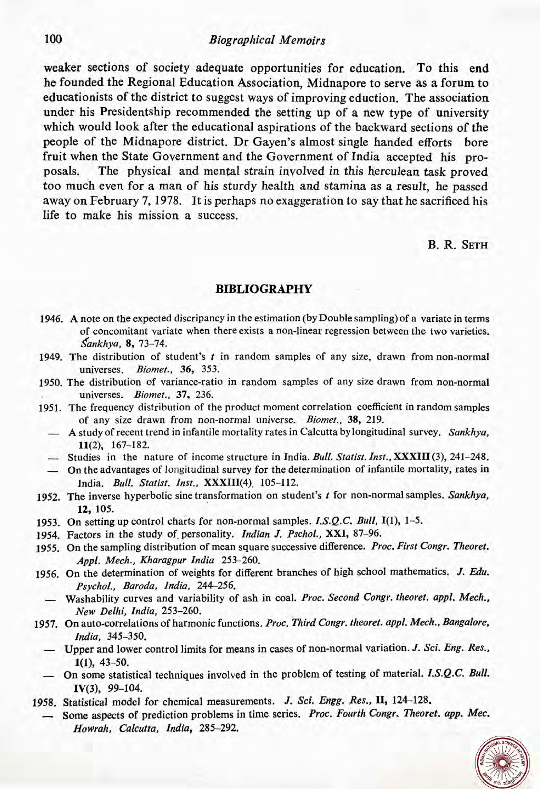### *Biographical Memoirs*

weaker sections of society adequate opportunities for education. To this end he founded the Regional Education Association, Midnapore to serve as a forum to educationists of the district to suggest ways of improving eduction. The association under his Presidentship recommended the setting up of a new type of university which would look after the educational aspirations of the backward sections of the people of the Midnapore district. Dr Gayen's almost single handed efforts bore fruit when the State Government and the Government of India accepted his proposals. The physical and mental strain involved in this herculean task proved too much even for a man of his sturdy health and stamina as a result, he passed away on February 7,1978. It is perhaps no exaggeration to say that he sacrificed his life to make his mission a success.

B. R. SETH

### **BIBLIOGRAPHY**

- 1946. A note on the expected discripancy in the estimation (by Double sampling) of a variate in terms of concomitant variate when there exists a non-linear regression between the two varieties. *\$ankhya,* 8, 73-74.
- 1949. The distribution of student's *t* in random samples of any size, drawn from non-normal universes. *Biornet.,* 36, 353.
- 1950. The distribution of variance-ratio in random samples of any size drawn from non-normal universes. *Biomet.,* 37, 236.
- 1951. The frequency distribution of the product moment correlation coefficient in random samples of any size drawn from non-normal universe. *Biomet.,* 38, 219.
	- A study of recent trend in infantile mortality rates in Calcutta by longitudinal survey. *Sankhya,*  11(2), 167-182. A study of recent trend in infantile mortality rates in Calcutta by longitudinal survey. Sankhya,<br>11(2), 167–182.<br>Studies in the nature of income structure in India. *Bull. Statist. Inst.*, **XXXIII** (3), 241–248.
	-
	- 11(2), 167-182.<br>
	Studies in the nature of income structure in India. Bull. Statist. Inst., XXXIII (3), 241-248.<br>
	On the advantages of longitudinal survey for the determination of infantile mortality, rates in India. *Bull. Statist. Inst.*, XXXIII(4), 105-112.
- 1952. The inverse hyperbolic sine transformation on student's *t* for non-normal samples. *Sankhya,*  12, 105.
- 1953. On setting up control charts for non-normal samples. *I.S.Q.C. Bull,* 1(1), 1-5.
- 1954. Factors in the study of-personality. *Indian* J. *Pschol.,* XXI, 87-96.
- 1955. On the sampling distribution of mean square successive difference. *Proc. First Congr. Theoret.*  Appl. Mech., Kharagpur India 253-260.
- 1956. On the determination of weights for different branches of high school mathematics. J. *Edu. Psychol., Baroda, India,* 244-256.
	- Washability curves and variability of ash in coal. *Proc. Second Congr. theoret. appl. Mech., New Delhi, Zndia,* 253-260.
- 1957. On auto-correlations of harmonic functions. *Proc. Third Congr. theoret. appl. Mech., Bangalore,*  India, 345-350.
	- Upper and lower control limits for means in cases of non-normal variation. J. *Sci. Eng. Res.,*  1(1), 43-50.
	- On some statistical techniques involved in the problem of testing of material. *I.S.Q.C. Bull.* IV(3),  $99-104$ .
- 1958. Statistical model for chemical measurements. *J. Sci. Engg. Res.,* 11, **124-128.** 
	- Some aspects of prediction problems in time series. *Proc. Fourth Congr. Theoret. app. Mec. Ho wrah, Calcutta, Zndia,* **285-292.**